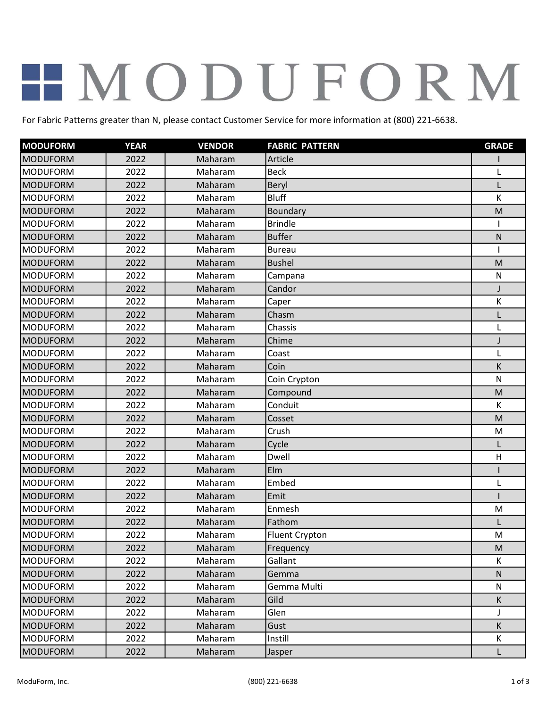## HMODUFORM

For Fabric Patterns greater than N, please contact Customer Service for more information at (800) 221-6638.

| <b>MODUFORM</b> | <b>YEAR</b> | <b>VENDOR</b> | <b>FABRIC PATTERN</b> | <b>GRADE</b> |
|-----------------|-------------|---------------|-----------------------|--------------|
| <b>MODUFORM</b> | 2022        | Maharam       | Article               |              |
| <b>MODUFORM</b> | 2022        | Maharam       | <b>Beck</b>           | L            |
| <b>MODUFORM</b> | 2022        | Maharam       | Beryl                 | $\mathbf{I}$ |
| <b>MODUFORM</b> | 2022        | Maharam       | <b>Bluff</b>          | К            |
| <b>MODUFORM</b> | 2022        | Maharam       | Boundary              | M            |
| <b>MODUFORM</b> | 2022        | Maharam       | <b>Brindle</b>        |              |
| <b>MODUFORM</b> | 2022        | Maharam       | <b>Buffer</b>         | ${\sf N}$    |
| <b>MODUFORM</b> | 2022        | Maharam       | <b>Bureau</b>         |              |
| <b>MODUFORM</b> | 2022        | Maharam       | <b>Bushel</b>         | M            |
| <b>MODUFORM</b> | 2022        | Maharam       | Campana               | ${\sf N}$    |
| <b>MODUFORM</b> | 2022        | Maharam       | Candor                | J            |
| <b>MODUFORM</b> | 2022        | Maharam       | Caper                 | К            |
| <b>MODUFORM</b> | 2022        | Maharam       | Chasm                 |              |
| <b>MODUFORM</b> | 2022        | Maharam       | Chassis               | L            |
| <b>MODUFORM</b> | 2022        | Maharam       | Chime                 | J            |
| <b>MODUFORM</b> | 2022        | Maharam       | Coast                 | L            |
| <b>MODUFORM</b> | 2022        | Maharam       | Coin                  | K            |
| <b>MODUFORM</b> | 2022        | Maharam       | Coin Crypton          | ${\sf N}$    |
| <b>MODUFORM</b> | 2022        | Maharam       | Compound              | M            |
| <b>MODUFORM</b> | 2022        | Maharam       | Conduit               | К            |
| <b>MODUFORM</b> | 2022        | Maharam       | Cosset                | M            |
| <b>MODUFORM</b> | 2022        | Maharam       | Crush                 | M            |
| <b>MODUFORM</b> | 2022        | Maharam       | Cycle                 |              |
| <b>MODUFORM</b> | 2022        | Maharam       | Dwell                 | H            |
| <b>MODUFORM</b> | 2022        | Maharam       | Elm                   |              |
| <b>MODUFORM</b> | 2022        | Maharam       | Embed                 | L            |
| <b>MODUFORM</b> | 2022        | Maharam       | Emit                  |              |
| <b>MODUFORM</b> | 2022        | Maharam       | Enmesh                | M            |
| <b>MODUFORM</b> | 2022        | Maharam       | Fathom                |              |
| <b>MODUFORM</b> | 2022        | Maharam       | <b>Fluent Crypton</b> | M            |
| <b>MODUFORM</b> | 2022        | Maharam       | Frequency             | M            |
| <b>MODUFORM</b> | 2022        | Maharam       | Gallant               | К            |
| <b>MODUFORM</b> | 2022        | Maharam       | Gemma                 | N            |
| <b>MODUFORM</b> | 2022        | Maharam       | Gemma Multi           | N            |
| <b>MODUFORM</b> | 2022        | Maharam       | Gild                  | K            |
| <b>MODUFORM</b> | 2022        | Maharam       | Glen                  | $\mathsf{I}$ |
| <b>MODUFORM</b> | 2022        | Maharam       | Gust                  | K            |
| <b>MODUFORM</b> | 2022        | Maharam       | Instill               | Κ            |
| <b>MODUFORM</b> | 2022        | Maharam       | Jasper                | L            |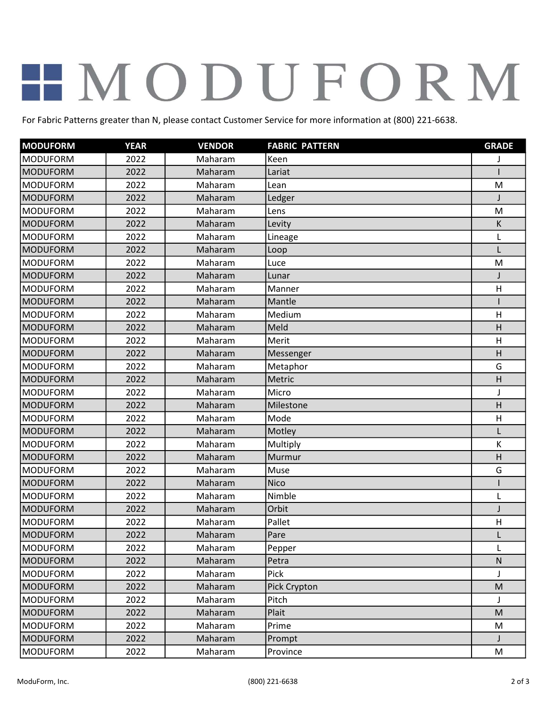## HMODUFORM

For Fabric Patterns greater than N, please contact Customer Service for more information at (800) 221-6638.

| <b>MODUFORM</b> | <b>YEAR</b> | <b>VENDOR</b> | <b>FABRIC PATTERN</b> | <b>GRADE</b> |
|-----------------|-------------|---------------|-----------------------|--------------|
| <b>MODUFORM</b> | 2022        | Maharam       | Keen                  |              |
| <b>MODUFORM</b> | 2022        | Maharam       | Lariat                |              |
| <b>MODUFORM</b> | 2022        | Maharam       | Lean                  | M            |
| <b>MODUFORM</b> | 2022        | Maharam       | Ledger                |              |
| <b>MODUFORM</b> | 2022        | Maharam       | Lens                  | M            |
| <b>MODUFORM</b> | 2022        | Maharam       | Levity                | К            |
| <b>MODUFORM</b> | 2022        | Maharam       | Lineage               | Г            |
| <b>MODUFORM</b> | 2022        | Maharam       | Loop                  |              |
| <b>MODUFORM</b> | 2022        | Maharam       | Luce                  | M            |
| <b>MODUFORM</b> | 2022        | Maharam       | Lunar                 |              |
| <b>MODUFORM</b> | 2022        | Maharam       | Manner                | H            |
| <b>MODUFORM</b> | 2022        | Maharam       | Mantle                |              |
| <b>MODUFORM</b> | 2022        | Maharam       | Medium                | H            |
| <b>MODUFORM</b> | 2022        | Maharam       | Meld                  | H            |
| <b>MODUFORM</b> | 2022        | Maharam       | Merit                 | H            |
| <b>MODUFORM</b> | 2022        | Maharam       | Messenger             | H            |
| <b>MODUFORM</b> | 2022        | Maharam       | Metaphor              | G            |
| <b>MODUFORM</b> | 2022        | Maharam       | Metric                | H            |
| <b>MODUFORM</b> | 2022        | Maharam       | Micro                 | J            |
| <b>MODUFORM</b> | 2022        | Maharam       | Milestone             | H            |
| <b>MODUFORM</b> | 2022        | Maharam       | Mode                  | H            |
| <b>MODUFORM</b> | 2022        | Maharam       | Motley                | L            |
| <b>MODUFORM</b> | 2022        | Maharam       | Multiply              | К            |
| <b>MODUFORM</b> | 2022        | Maharam       | Murmur                | H            |
| <b>MODUFORM</b> | 2022        | Maharam       | Muse                  | G            |
| <b>MODUFORM</b> | 2022        | Maharam       | <b>Nico</b>           |              |
| <b>MODUFORM</b> | 2022        | Maharam       | Nimble                | L            |
| <b>MODUFORM</b> | 2022        | Maharam       | Orbit                 |              |
| <b>MODUFORM</b> | 2022        | Maharam       | Pallet                | H            |
| MODUFORM        | 2022        | Maharam       | Pare                  |              |
| <b>MODUFORM</b> | 2022        | Maharam       | Pepper                | L            |
| <b>MODUFORM</b> | 2022        | Maharam       | Petra                 | ${\sf N}$    |
| <b>MODUFORM</b> | 2022        | Maharam       | Pick                  |              |
| <b>MODUFORM</b> | 2022        | Maharam       | Pick Crypton          | M            |
| <b>MODUFORM</b> | 2022        | Maharam       | Pitch                 |              |
| <b>MODUFORM</b> | 2022        | Maharam       | Plait                 | M            |
| <b>MODUFORM</b> | 2022        | Maharam       | Prime                 | M            |
| <b>MODUFORM</b> | 2022        | Maharam       | Prompt                | J            |
| <b>MODUFORM</b> | 2022        | Maharam       | Province              | M            |